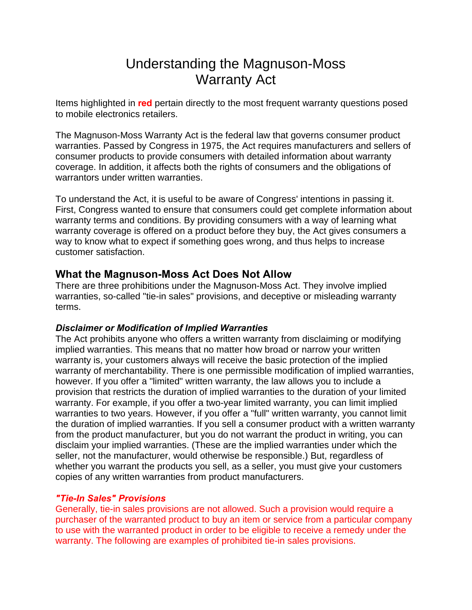# Understanding the Magnuson-Moss Warranty Act

Items highlighted in **red** pertain directly to the most frequent warranty questions posed to mobile electronics retailers.

The Magnuson-Moss Warranty Act is the federal law that governs consumer product warranties. Passed by Congress in 1975, the Act requires manufacturers and sellers of consumer products to provide consumers with detailed information about warranty coverage. In addition, it affects both the rights of consumers and the obligations of warrantors under written warranties.

To understand the Act, it is useful to be aware of Congress' intentions in passing it. First, Congress wanted to ensure that consumers could get complete information about warranty terms and conditions. By providing consumers with a way of learning what warranty coverage is offered on a product before they buy, the Act gives consumers a way to know what to expect if something goes wrong, and thus helps to increase customer satisfaction.

## **What the Magnuson-Moss Act Does Not Allow**

There are three prohibitions under the Magnuson-Moss Act. They involve implied warranties, so-called "tie-in sales" provisions, and deceptive or misleading warranty terms.

### *Disclaimer or Modification of Implied Warranties*

The Act prohibits anyone who offers a written warranty from disclaiming or modifying implied warranties. This means that no matter how broad or narrow your written warranty is, your customers always will receive the basic protection of the implied warranty of merchantability. There is one permissible modification of implied warranties, however. If you offer a "limited" written warranty, the law allows you to include a provision that restricts the duration of implied warranties to the duration of your limited warranty. For example, if you offer a two-year limited warranty, you can limit implied warranties to two years. However, if you offer a "full" written warranty, you cannot limit the duration of implied warranties. If you sell a consumer product with a written warranty from the product manufacturer, but you do not warrant the product in writing, you can disclaim your implied warranties. (These are the implied warranties under which the seller, not the manufacturer, would otherwise be responsible.) But, regardless of whether you warrant the products you sell, as a seller, you must give your customers copies of any written warranties from product manufacturers.

### *"Tie-In Sales" Provisions*

Generally, tie-in sales provisions are not allowed. Such a provision would require a purchaser of the warranted product to buy an item or service from a particular company to use with the warranted product in order to be eligible to receive a remedy under the warranty. The following are examples of prohibited tie-in sales provisions.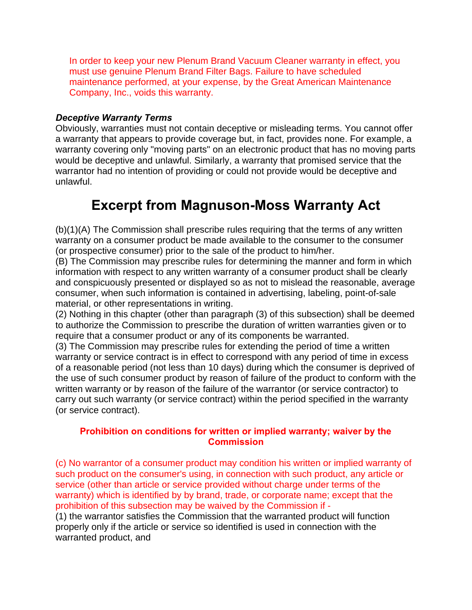In order to keep your new Plenum Brand Vacuum Cleaner warranty in effect, you must use genuine Plenum Brand Filter Bags. Failure to have scheduled maintenance performed, at your expense, by the Great American Maintenance Company, Inc., voids this warranty.

#### *Deceptive Warranty Terms*

Obviously, warranties must not contain deceptive or misleading terms. You cannot offer a warranty that appears to provide coverage but, in fact, provides none. For example, a warranty covering only "moving parts" on an electronic product that has no moving parts would be deceptive and unlawful. Similarly, a warranty that promised service that the warrantor had no intention of providing or could not provide would be deceptive and unlawful.

# **Excerpt from Magnuson-Moss Warranty Act**

(b)(1)(A) The Commission shall prescribe rules requiring that the terms of any written warranty on a consumer product be made available to the consumer to the consumer (or prospective consumer) prior to the sale of the product to him/her.

(B) The Commission may prescribe rules for determining the manner and form in which information with respect to any written warranty of a consumer product shall be clearly and conspicuously presented or displayed so as not to mislead the reasonable, average consumer, when such information is contained in advertising, labeling, point-of-sale material, or other representations in writing.

(2) Nothing in this chapter (other than paragraph (3) of this subsection) shall be deemed to authorize the Commission to prescribe the duration of written warranties given or to require that a consumer product or any of its components be warranted.

(3) The Commission may prescribe rules for extending the period of time a written warranty or service contract is in effect to correspond with any period of time in excess of a reasonable period (not less than 10 days) during which the consumer is deprived of the use of such consumer product by reason of failure of the product to conform with the written warranty or by reason of the failure of the warrantor (or service contractor) to carry out such warranty (or service contract) within the period specified in the warranty (or service contract).

#### **Prohibition on conditions for written or implied warranty; waiver by the Commission**

(c) No warrantor of a consumer product may condition his written or implied warranty of such product on the consumer's using, in connection with such product, any article or service (other than article or service provided without charge under terms of the warranty) which is identified by by brand, trade, or corporate name; except that the prohibition of this subsection may be waived by the Commission if - (1) the warrantor satisfies the Commission that the warranted product will function properly only if the article or service so identified is used in connection with the warranted product, and